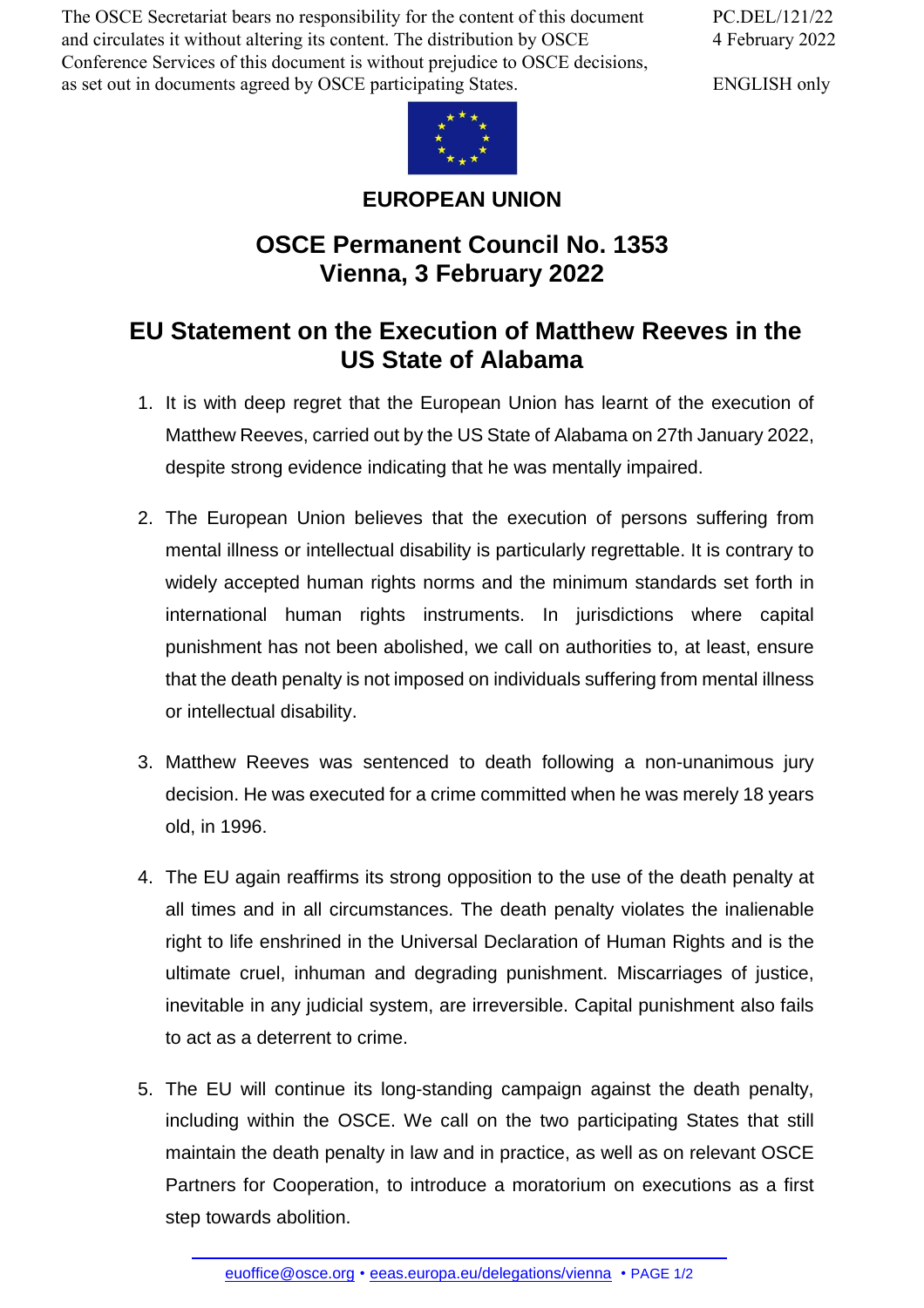The OSCE Secretariat bears no responsibility for the content of this document and circulates it without altering its content. The distribution by OSCE Conference Services of this document is without prejudice to OSCE decisions, as set out in documents agreed by OSCE participating States.

PC.DEL/121/22 4 February 2022

ENGLISH only



## **EUROPEAN UNION**

## **OSCE Permanent Council No. 1353 Vienna, 3 February 2022**

## **EU Statement on the Execution of Matthew Reeves in the US State of Alabama**

- 1. It is with deep regret that the European Union has learnt of the execution of Matthew Reeves, carried out by the US State of Alabama on 27th January 2022, despite strong evidence indicating that he was mentally impaired.
- 2. The European Union believes that the execution of persons suffering from mental illness or intellectual disability is particularly regrettable. It is contrary to widely accepted human rights norms and the minimum standards set forth in international human rights instruments. In jurisdictions where capital punishment has not been abolished, we call on authorities to, at least, ensure that the death penalty is not imposed on individuals suffering from mental illness or intellectual disability.
- 3. Matthew Reeves was sentenced to death following a non-unanimous jury decision. He was executed for a crime committed when he was merely 18 years old, in 1996.
- 4. The EU again reaffirms its strong opposition to the use of the death penalty at all times and in all circumstances. The death penalty violates the inalienable right to life enshrined in the Universal Declaration of Human Rights and is the ultimate cruel, inhuman and degrading punishment. Miscarriages of justice, inevitable in any judicial system, are irreversible. Capital punishment also fails to act as a deterrent to crime.
- 5. The EU will continue its long-standing campaign against the death penalty, including within the OSCE. We call on the two participating States that still maintain the death penalty in law and in practice, as well as on relevant OSCE Partners for Cooperation, to introduce a moratorium on executions as a first step towards [abolition.](mailto:euoffice@osce.org)